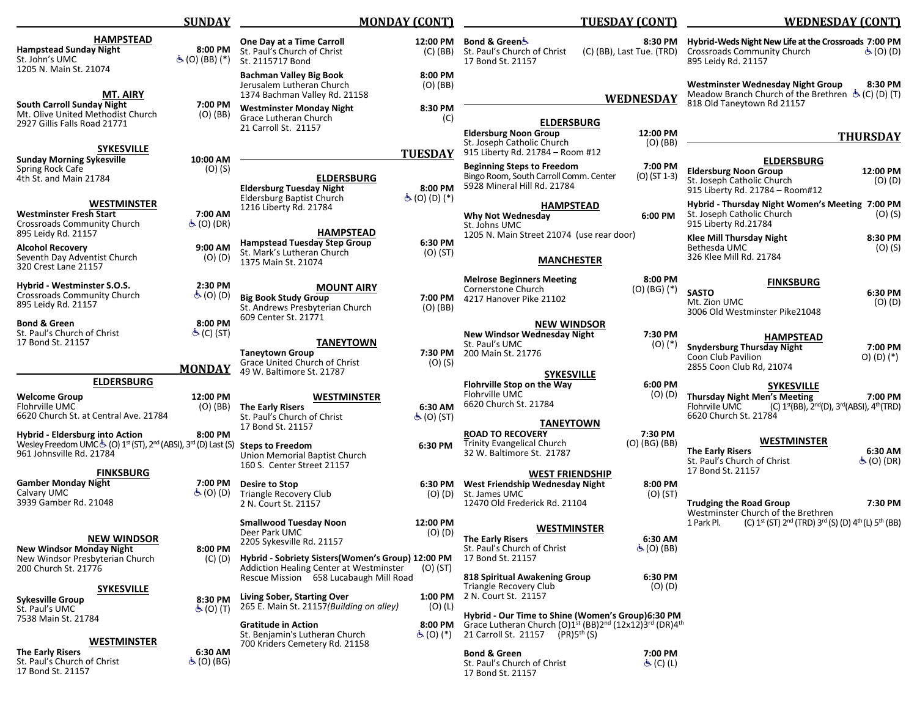|                                                                                                                                                 | <b>SUNDAY</b>                           | <b>MONDAY (CONT)</b>                                                                                                                                                                                                   |                                           | <b>TUESDAY (CONT)</b>                                                                                                                                                                                                      |                                                    | <b>WEDNESDAY (CONT)</b>                                                                                                                  |                                                     |
|-------------------------------------------------------------------------------------------------------------------------------------------------|-----------------------------------------|------------------------------------------------------------------------------------------------------------------------------------------------------------------------------------------------------------------------|-------------------------------------------|----------------------------------------------------------------------------------------------------------------------------------------------------------------------------------------------------------------------------|----------------------------------------------------|------------------------------------------------------------------------------------------------------------------------------------------|-----------------------------------------------------|
| <b>HAMPSTEAD</b><br><b>Hampstead Sunday Night</b><br>St. John's UMC<br>1205 N. Main St. 21074                                                   | 8:00 PM<br>க் (O) (BB) (*)              | One Day at a Time Carroll<br>St. Paul's Church of Christ<br>St. 2115717 Bond                                                                                                                                           | 12:00 PM<br>(C) (BB)                      | Bond & Green&<br>St. Paul's Church of Christ<br>17 Bond St. 21157                                                                                                                                                          | 8:30 PM<br>(C) (BB), Last Tue. (TRD)               | Hybrid-Weds Night New Life at the Crossroads 7:00 PM<br><b>Crossroads Community Church</b><br>895 Leidy Rd. 21157                        | $(0)$ (D)                                           |
| <b>MT. AIRY</b><br>South Carroll Sunday Night                                                                                                   | 7:00 PM                                 | <b>Bachman Valley Big Book</b><br>Jerusalem Lutheran Church<br>1374 Bachman Valley Rd. 21158                                                                                                                           | 8:00 PM<br>$(O)$ (BB)                     |                                                                                                                                                                                                                            | <b>WEDNESDAY</b>                                   | Westminster Wednesday Night Group<br>Meadow Branch Church of the Brethren $\dot{\mathfrak{G}}$ (C) (D) (T)<br>818 Old Taneytown Rd 21157 | 8:30 PM                                             |
| Mt. Olive United Methodist Church<br>2927 Gillis Falls Road 21771                                                                               | $(O)$ (BB)                              | <b>Westminster Monday Night</b><br>Grace Lutheran Church<br>21 Carroll St. 21157                                                                                                                                       | 8:30 PM<br>(C)                            | <b>ELDERSBURG</b><br><b>Eldersburg Noon Group</b>                                                                                                                                                                          | 12:00 PM                                           |                                                                                                                                          | <b>THURSDAY</b>                                     |
| <b>SYKESVILLE</b>                                                                                                                               |                                         |                                                                                                                                                                                                                        | <b>TUESDAY</b>                            | St. Joseph Catholic Church<br>915 Liberty Rd. 21784 - Room #12                                                                                                                                                             | $(O)$ (BB)                                         |                                                                                                                                          |                                                     |
| <b>Sunday Morning Sykesville</b><br>Spring Rock Cafe<br>4th St. and Main 21784                                                                  | 10:00 AM<br>$(O)$ (S)                   | <b>ELDERSBURG</b><br><b>Eldersburg Tuesday Night</b>                                                                                                                                                                   | 8:00 PM                                   | <b>Beginning Steps to Freedom</b><br>Bingo Room, South Carroll Comm. Center<br>5928 Mineral Hill Rd. 21784                                                                                                                 | 7:00 PM<br>$(O)$ (ST 1-3)                          | <b>ELDERSBURG</b><br><b>Eldersburg Noon Group</b><br>St. Joseph Catholic Church<br>915 Liberty Rd. 21784 - Room#12                       | 12:00 PM<br>$(O)$ $(D)$                             |
| <b>WESTMINSTER</b><br><b>Westminster Fresh Start</b><br><b>Crossroads Community Church</b>                                                      | 7:00 AM<br>$\dot{\mathcal{F}}$ (O) (DR) | <b>Eldersburg Baptist Church</b><br>1216 Liberty Rd. 21784                                                                                                                                                             | க்(O)(D)(*)                               | <b>HAMPSTEAD</b><br>Why Not Wednesday<br>St. Johns UMC                                                                                                                                                                     | 6:00 PM                                            | Hybrid - Thursday Night Women's Meeting 7:00 PM<br>St. Joseph Catholic Church<br>915 Liberty Rd.21784                                    | $(0)$ (S)                                           |
| 895 Leidy Rd. 21157<br><b>Alcohol Recovery</b><br>Seventh Day Adventist Church<br>320 Crest Lane 21157                                          | 9:00 AM<br>$(O)$ $(D)$                  | <b>HAMPSTEAD</b><br><b>Hampstead Tuesday Step Group</b><br>St. Mark's Lutheran Church<br>1375 Main St. 21074                                                                                                           | 6:30 PM<br>(O) (ST)                       | 1205 N. Main Street 21074 (use rear door)<br><b>MANCHESTER</b>                                                                                                                                                             |                                                    | <b>Klee Mill Thursday Night</b><br>Bethesda UMC<br>326 Klee Mill Rd. 21784                                                               | 8:30 PM<br>$(O)$ (S)                                |
| Hybrid - Westminster S.O.S.<br><b>Crossroads Community Church</b><br>895 Leidy Rd. 21157                                                        | 2:30 PM<br>க் (O) (D)                   | <b>MOUNT AIRY</b><br><b>Big Book Study Group</b><br>St. Andrews Presbyterian Church                                                                                                                                    | 7:00 PM<br>$(O)$ (BB)                     | <b>Melrose Beginners Meeting</b><br>Cornerstone Church<br>4217 Hanover Pike 21102                                                                                                                                          | 8:00 PM<br>$(O)$ (BG) $(*)$                        | <b>FINKSBURG</b><br><b>SASTO</b><br>Mt. Zion UMC<br>3006 Old Westminster Pike21048                                                       | 6:30 PM<br>$(O)$ $(D)$                              |
| <b>Bond &amp; Green</b><br>St. Paul's Church of Christ<br>17 Bond St. 21157                                                                     | 8:00 PM<br>க் (C) (ST)                  | 609 Center St. 21771<br><b>TANEYTOWN</b><br><b>Taneytown Group</b>                                                                                                                                                     | 7:30 PM                                   | <b>NEW WINDSOR</b><br><b>New Windsor Wednesday Night</b><br>St. Paul's UMC<br>200 Main St. 21776                                                                                                                           | 7:30 PM<br>$(0)$ $(*)$                             | <b>HAMPSTEAD</b><br><b>Snydersburg Thursday Night</b><br>Coon Club Pavilion                                                              | 7:00 PM                                             |
|                                                                                                                                                 | <b>MONDAY</b>                           | Grace United Church of Christ<br>49 W. Baltimore St. 21787                                                                                                                                                             | $(O)$ $(S)$                               | <b>SYKESVILLE</b>                                                                                                                                                                                                          |                                                    | 2855 Coon Club Rd, 21074                                                                                                                 | O) (D) (*)                                          |
| <b>ELDERSBURG</b><br><b>Welcome Group</b><br>Flohrville UMC<br>6620 Church St. at Central Ave. 21784                                            | 12:00 PM<br>(O) (BB)                    | <b>WESTMINSTER</b><br><b>The Early Risers</b><br>St. Paul's Church of Christ                                                                                                                                           | 6:30 AM<br>$\mathcal{F}(\mathsf{O})$ (ST) | Flohrville Stop on the Way<br>Flohrville UMC<br>6620 Church St. 21784                                                                                                                                                      | 6:00 PM<br>$(O)$ $(D)$                             | <b>SYKESVILLE</b><br><b>Thursday Night Men's Meeting</b><br>Flohrville UMC<br>6620 Church St. 21784                                      | 7:00 PM<br>(C) 1st(BB), 2nd(D), 3rd(ABSI), 4th(TRD) |
| Hybrid - Eldersburg into Action<br>Wesley Freedom UMC & (O) 1st (ST), 2nd (ABSI), 3rd (D) Last (S) Steps to Freedom<br>961 Johnsville Rd. 21784 | 8:00 PM                                 | 17 Bond St. 21157<br>Union Memorial Baptist Church<br>160 S. Center Street 21157                                                                                                                                       | 6:30 PM                                   | <b>TANEYTOWN</b><br><b>ROAD TO RECOVERY</b><br><b>Trinity Evangelical Church</b><br>32 W. Baltimore St. 21787                                                                                                              | 7:30 PM<br>(O) (BG) (BB)                           | <b>WESTMINSTER</b><br><b>The Early Risers</b><br>St. Paul's Church of Christ                                                             | 6:30 AM<br>$\dot{\mathcal{F}}$ (O) (DR)             |
| <b>FINKSBURG</b><br><b>Gamber Monday Night</b><br>Calvary UMC<br>3939 Gamber Rd. 21048                                                          | 7:00 PM<br>$\Phi$ (O) (D)               | Desire to Stop<br>Triangle Recovery Club<br>2 N. Court St. 21157                                                                                                                                                       | 6:30 PM                                   | <b>WEST FRIENDSHIP</b><br>West Friendship Wednesday Night<br>$(O)$ $(D)$ St. James UMC<br>12470 Old Frederick Rd. 21104                                                                                                    | 8:00 PM<br>$(O)$ (ST)                              | 17 Bond St. 21157<br><b>Trudging the Road Group</b><br>Westminster Church of the Brethren                                                | 7:30 PM                                             |
| <b>NEW WINDSOR</b><br><b>New Windsor Monday Night</b><br>New Windsor Presbyterian Church<br>200 Church St. 21776                                | 8:00 PM<br>(C) (D)                      | <b>Smallwood Tuesday Noon</b><br>Deer Park UMC<br>2205 Sykesville Rd. 21157<br>Hybrid - Sobriety Sisters (Women's Group) 12:00 PM<br>Addiction Healing Center at Westminster<br>Rescue Mission 658 Lucabaugh Mill Road | 12:00 PM<br>$(O)$ $(D)$<br>$(O)$ (ST)     | <b>WESTMINSTER</b><br><b>The Early Risers</b><br>St. Paul's Church of Christ<br>17 Bond St. 21157<br>818 Spiritual Awakening Group                                                                                         | 6:30 AM<br>$\dot{\mathcal{F}}$ (O) (BB)<br>6:30 PM | (C) 1 <sup>st</sup> (ST) 2 <sup>nd</sup> (TRD) 3 <sup>rd</sup> (S) (D) 4 <sup>th</sup> (L) 5 <sup>th</sup> (BB)<br>1 Park Pl.            |                                                     |
| <b>SYKESVILLE</b><br><b>Sykesville Group</b><br>St. Paul's UMC                                                                                  | 8:30 PM<br>$\dot{\mathcal{F}}$ (O) (T)  | Living Sober, Starting Over<br>265 E. Main St. 21157 (Building on alley)                                                                                                                                               | 1:00 PM<br>$(O)$ (L)                      | Triangle Recovery Club<br>2 N. Court St. 21157<br>Hybrid - Our Time to Shine (Women's Group)6:30 PM                                                                                                                        | $(O)$ $(D)$                                        |                                                                                                                                          |                                                     |
| 7538 Main St. 21784<br>WESTMINSTER<br><b>The Early Risers</b><br>St. Paul's Church of Christ<br>17 Bond St. 21157                               | 6:30 AM<br>$\mathfrak{S}(O)$ (BG)       | <b>Gratitude in Action</b><br>St. Benjamin's Lutheran Church<br>700 Kriders Cemetery Rd. 21158                                                                                                                         | 8:00 PM<br>$\mathfrak{S}(0)$ (*)          | Grace Lutheran Church (O)1 <sup>st</sup> (BB)2 <sup>nd</sup> (12x12)3 <sup>rd</sup> (DR)4 <sup>th</sup><br>21 Carroll St. 21157 (PR)5th (S)<br><b>Bond &amp; Green</b><br>St. Paul's Church of Christ<br>17 Bond St. 21157 | 7:00 PM<br>க் (C) (L)                              |                                                                                                                                          |                                                     |